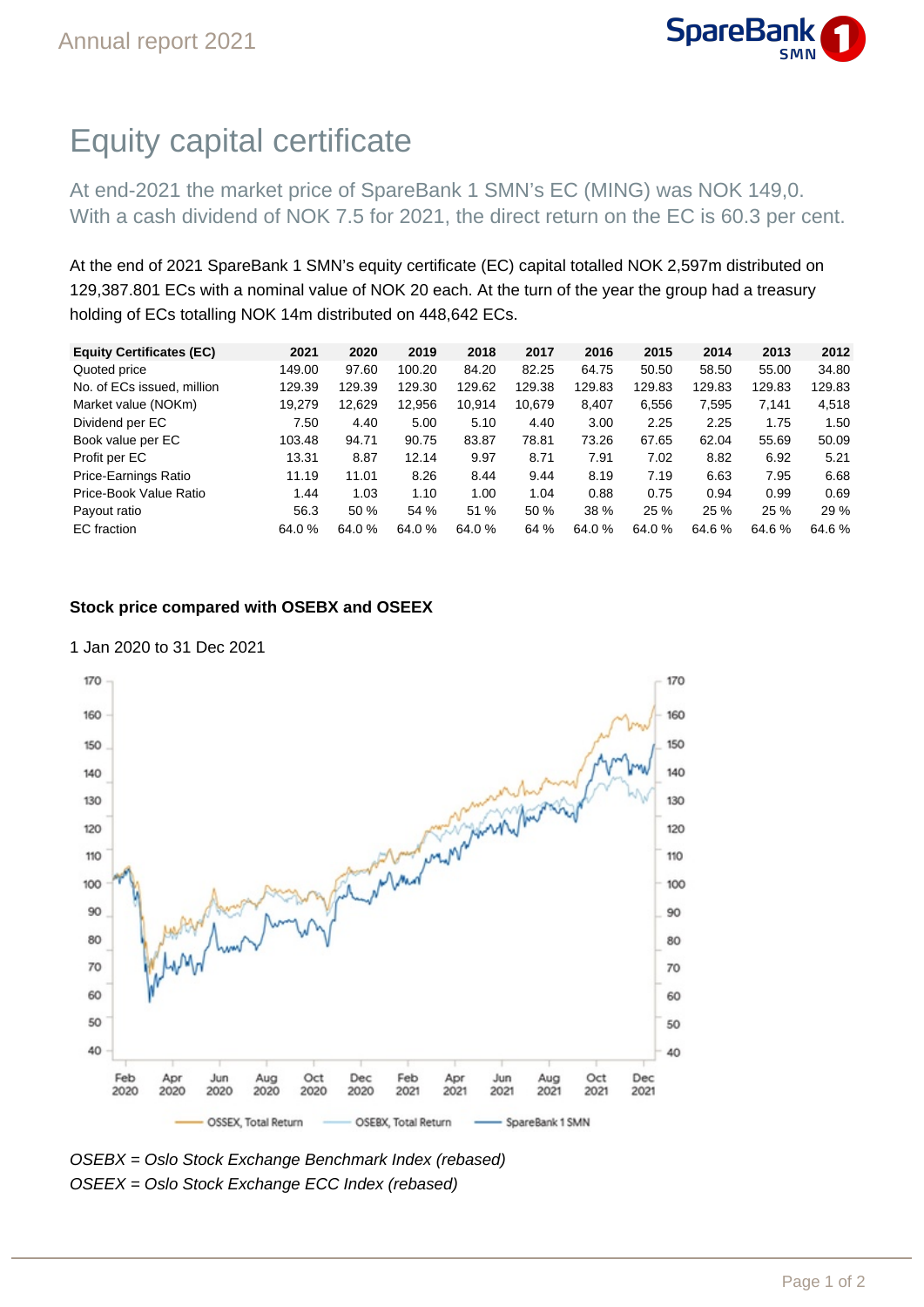

# Equity capital certificate

At end-2021 the market price of SpareBank 1 SMN's EC (MING) was NOK 149,0. With a cash dividend of NOK 7.5 for 2021, the direct return on the EC is 60.3 per cent.

At the end of 2021 SpareBank 1 SMN's equity certificate (EC) capital totalled NOK 2,597m distributed on 129,387.801 ECs with a nominal value of NOK 20 each. At the turn of the year the group had a treasury holding of ECs totalling NOK 14m distributed on 448,642 ECs.

| <b>Equity Certificates (EC)</b> | 2021   | 2020   | 2019   | 2018   | 2017   | 2016   | 2015   | 2014   | 2013   | 2012   |
|---------------------------------|--------|--------|--------|--------|--------|--------|--------|--------|--------|--------|
| Quoted price                    | 149.00 | 97.60  | 100.20 | 84.20  | 82.25  | 64.75  | 50.50  | 58.50  | 55.00  | 34.80  |
| No. of ECs issued, million      | 129.39 | 129.39 | 129.30 | 129.62 | 129.38 | 129.83 | 129.83 | 129.83 | 129.83 | 129.83 |
| Market value (NOKm)             | 19,279 | 12,629 | 12,956 | 10,914 | 10,679 | 8,407  | 6,556  | 7.595  | 7.141  | 4,518  |
| Dividend per EC                 | 7.50   | 4.40   | 5.00   | 5.10   | 4.40   | 3.00   | 2.25   | 2.25   | 1.75   | 1.50   |
| Book value per EC               | 103.48 | 94.71  | 90.75  | 83.87  | 78.81  | 73.26  | 67.65  | 62.04  | 55.69  | 50.09  |
| Profit per EC                   | 13.31  | 8.87   | 12.14  | 9.97   | 8.71   | 7.91   | 7.02   | 8.82   | 6.92   | 5.21   |
| Price-Earnings Ratio            | 11.19  | 11.01  | 8.26   | 8.44   | 9.44   | 8.19   | 7.19   | 6.63   | 7.95   | 6.68   |
| Price-Book Value Ratio          | 1.44   | 1.03   | 1.10   | 1.00   | 1.04   | 0.88   | 0.75   | 0.94   | 0.99   | 0.69   |
| Payout ratio                    | 56.3   | 50%    | 54 %   | 51 %   | 50 %   | 38 %   | 25 %   | 25 %   | 25 %   | 29 %   |
| EC fraction                     | 64.0 % | 64.0%  | 64.0%  | 64.0 % | 64 %   | 64.0%  | 64.0 % | 64.6%  | 64.6%  | 64.6%  |
|                                 |        |        |        |        |        |        |        |        |        |        |

## **Stock price compared with OSEBX and OSEEX**

#### 1 Jan 2020 to 31 Dec 2021



OSEBX = Oslo Stock Exchange Benchmark Index (rebased) OSEEX = Oslo Stock Exchange ECC Index (rebased)